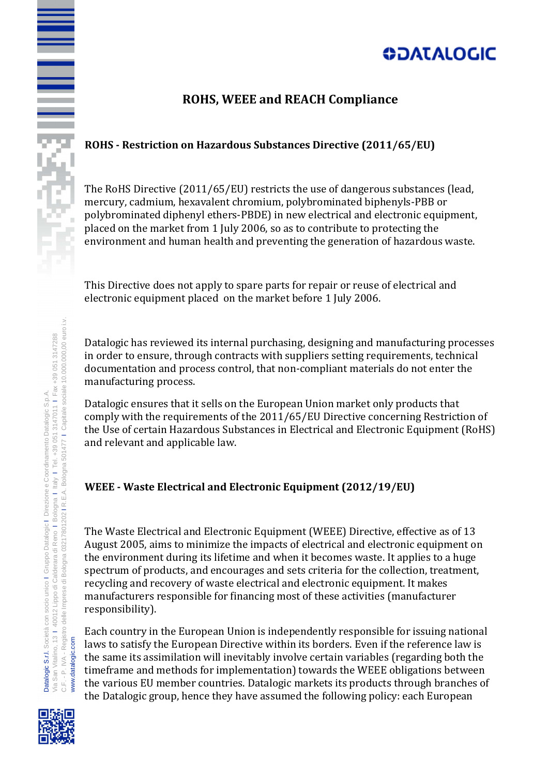# **ODATALOGIC**

### **ROHS, WEEE and REACH Compliance**

### **ROHS - Restriction on Hazardous Substances Directive (2011/65/EU)**

The RoHS Directive (2011/65/EU) restricts the use of dangerous substances (lead, mercury, cadmium, hexavalent chromium, polybrominated biphenyls-PBB or polybrominated diphenyl ethers-PBDE) in new electrical and electronic equipment, placed on the market from 1 July 2006, so as to contribute to protecting the environment and human health and preventing the generation of hazardous waste.

This Directive does not apply to spare parts for repair or reuse of electrical and electronic equipment placed on the market before 1 July 2006.

Datalogic has reviewed its internal purchasing, designing and manufacturing processes in order to ensure, through contracts with suppliers setting requirements, technical documentation and process control, that non-compliant materials do not enter the manufacturing process.

Datalogic ensures that it sells on the European Union market only products that comply with the requirements of the 2011/65/EU Directive concerning Restriction of the Use of certain Hazardous Substances in Electrical and Electronic Equipment (RoHS) and relevant and applicable law.

### **WEEE - Waste Electrical and Electronic Equipment (2012/19/EU)**

The Waste Electrical and Electronic Equipment (WEEE) Directive, effective as of 13 August 2005, aims to minimize the impacts of electrical and electronic equipment on the environment during its lifetime and when it becomes waste. It applies to a huge spectrum of products, and encourages and sets criteria for the collection, treatment, recycling and recovery of waste electrical and electronic equipment. It makes manufacturers responsible for financing most of these activities (manufacturer responsibility).

Each country in the European Union is independently responsible for issuing national laws to satisfy the European Directive within its borders. Even if the reference law is the same its assimilation will inevitably involve certain variables (regarding both the timeframe and methods for implementation) towards the WEEE obligations between the various EU member countries. Datalogic markets its products through branches of the Datalogic group, hence they have assumed the following policy: each European

≣



www.datalogic.com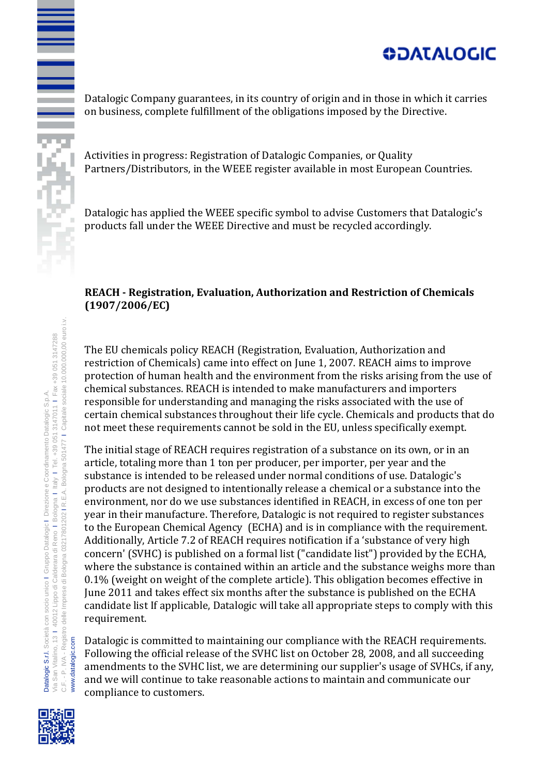## **ODATALOGIC**

Datalogic Company guarantees, in its country of origin and in those in which it carries on business, complete fulfillment of the obligations imposed by the Directive.

Activities in progress: Registration of Datalogic Companies, or Quality Partners/Distributors, in the WEEE register available in most European Countries.

Datalogic has applied the WEEE specific symbol to advise Customers that Datalogic's products fall under the WEEE Directive and must be recycled accordingly.

#### **REACH - Registration, Evaluation, Authorization and Restriction of Chemicals (1907/2006/EC)**

The EU chemicals policy REACH (Registration, Evaluation, Authorization and restriction of Chemicals) came into effect on June 1, 2007. REACH aims to improve protection of human health and the environment from the risks arising from the use of chemical substances. REACH is intended to make manufacturers and importers responsible for understanding and managing the risks associated with the use of certain chemical substances throughout their life cycle. Chemicals and products that do not meet these requirements cannot be sold in the EU, unless specifically exempt.

The initial stage of REACH requires registration of a substance on its own, or in an article, totaling more than 1 ton per producer, per importer, per year and the substance is intended to be released under normal conditions of use. Datalogic's products are not designed to intentionally release a chemical or a substance into the environment, nor do we use substances identified in REACH, in excess of one ton per year in their manufacture. Therefore, Datalogic is not required to register substances to the European Chemical Agency (ECHA) and is in compliance with the requirement. Additionally, Article 7.2 of REACH requires notification if a 'substance of very high concern' (SVHC) is published on a formal list ("candidate list") provided by the ECHA, where the substance is contained within an article and the substance weighs more than 0.1% (weight on weight of the complete article). This obligation becomes effective in June 2011 and takes effect six months after the substance is published on the ECHA candidate list If applicable, Datalogic will take all appropriate steps to comply with this requirement.

Datalogic is committed to maintaining our compliance with the REACH requirements. Following the official release of the SVHC list on October 28, 2008, and all succeeding amendments to the SVHC list, we are determining our supplier's usage of SVHCs, if any, and we will continue to take reasonable actions to maintain and communicate our compliance to customers.



www.datalogic.com